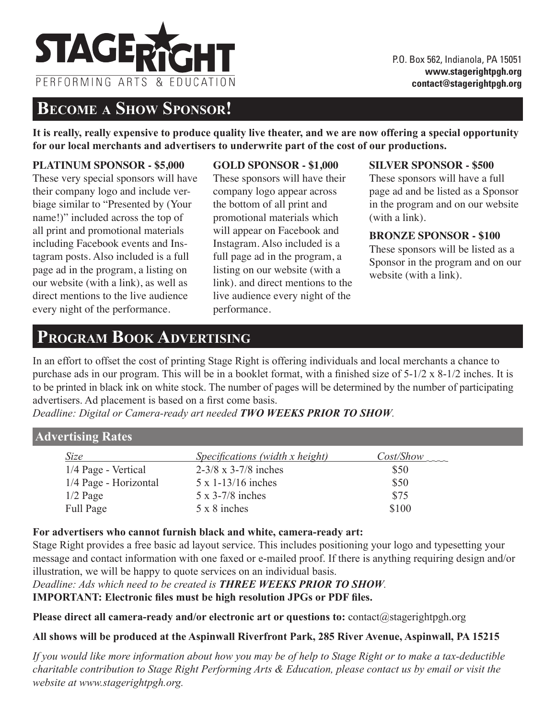

## **Become a Show Sponsor!**

**It is really, really expensive to produce quality live theater, and we are now offering a special opportunity for our local merchants and advertisers to underwrite part of the cost of our productions.** 

### **PLATINUM SPONSOR - \$5,000**

These very special sponsors will have their company logo and include verbiage similar to "Presented by (Your name!)" included across the top of all print and promotional materials including Facebook events and Instagram posts. Also included is a full page ad in the program, a listing on our website (with a link), as well as direct mentions to the live audience every night of the performance.

### **GOLD SPONSOR - \$1,000**

These sponsors will have their company logo appear across the bottom of all print and promotional materials which will appear on Facebook and Instagram. Also included is a full page ad in the program, a listing on our website (with a link). and direct mentions to the live audience every night of the performance.

#### **SILVER SPONSOR - \$500**

These sponsors will have a full page ad and be listed as a Sponsor in the program and on our website (with a link).

### **BRONZE SPONSOR - \$100**

These sponsors will be listed as a Sponsor in the program and on our website (with a link).

# **Program Book Advertising**

In an effort to offset the cost of printing Stage Right is offering individuals and local merchants a chance to purchase ads in our program. This will be in a booklet format, with a finished size of 5-1/2 x 8-1/2 inches. It is to be printed in black ink on white stock. The number of pages will be determined by the number of participating advertisers. Ad placement is based on a first come basis.

*Deadline: Digital or Camera-ready art needed TWO WEEKS PRIOR TO SHOW.*

## **Advertising Rates**

| Size                  | <i>Specifications (width x height)</i> | Cost/Show |
|-----------------------|----------------------------------------|-----------|
| 1/4 Page - Vertical   | $2-3/8 \times 3-7/8$ inches            | \$50      |
| 1/4 Page - Horizontal | $5 \times 1 - 13/16$ inches            | \$50      |
| $1/2$ Page            | $5 \times 3 - 7/8$ inches              | \$75      |
| Full Page             | $5 \times 8$ inches                    | \$100     |

#### **For advertisers who cannot furnish black and white, camera-ready art:**

Stage Right provides a free basic ad layout service. This includes positioning your logo and typesetting your message and contact information with one faxed or e-mailed proof. If there is anything requiring design and/or illustration, we will be happy to quote services on an individual basis.

*Deadline: Ads which need to be created is THREE WEEKS PRIOR TO SHOW.*  **IMPORTANT: Electronic files must be high resolution JPGs or PDF files.**

Please direct all camera-ready and/or electronic art or questions to: contact@stagerightpgh.org

## **All shows will be produced at the Aspinwall Riverfront Park, 285 River Avenue, Aspinwall, PA 15215**

If you would like more information about how you may be of help to Stage Right or to make a tax-deductible charitable contribution to Stage Right Performing Arts & Education, please contact us by email or visit the *website at www.stagerightpgh.org.*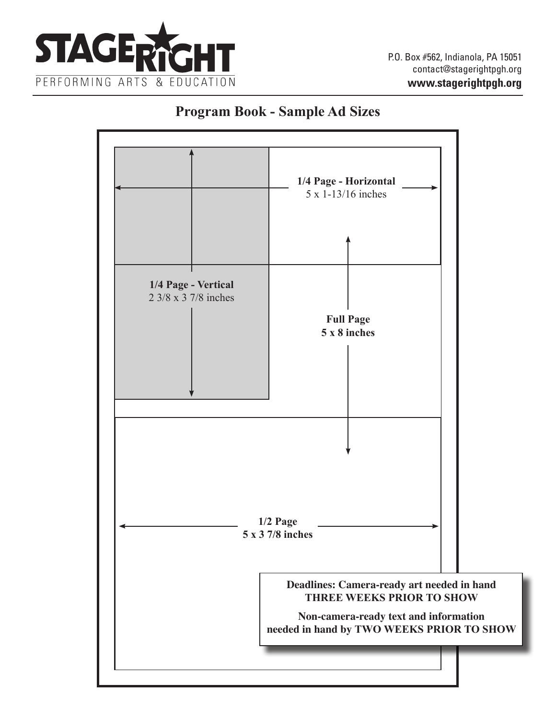

## **Program Book - Sample Ad Sizes**